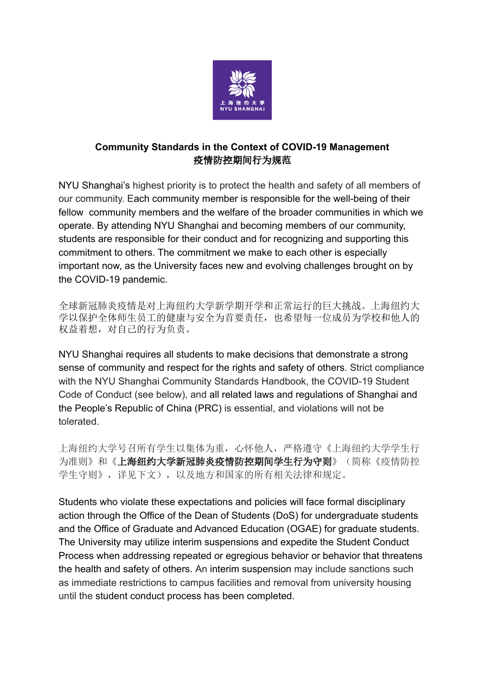

# **Community Standards in the Context of COVID-19 Management** 疫情防控期间行为规范

NYU Shanghai's highest priority is to protect the health and safety of all members of our community. Each community member is responsible for the well-being of their fellow community members and the welfare of the broader communities in which we operate. By attending NYU Shanghai and becoming members of our community, students are responsible for their conduct and for recognizing and supporting this commitment to others. The commitment we make to each other is especially important now, as the University faces new and evolving challenges brought on by the COVID-19 pandemic.

全球新冠肺炎疫情是对上海纽约大学新学期开学和正常运行的巨大挑战。上海纽约大 学以保护全体师生员工的健康与安全为首要责任,也希望每一位成员为学校和他人的 权益着想,对自己的行为负责。

NYU Shanghai requires all students to make decisions that demonstrate a strong sense of community and respect for the rights and safety of others. Strict compliance with the NYU Shanghai Community Standards Handbook, the COVID-19 Student Code of Conduct (see below), and all related laws and regulations of Shanghai and the People's Republic of China (PRC) is essential, and violations will not be tolerated.

上海纽约大学号召所有学生以集体为重,心怀他人,严格遵守《上海纽约大学学生行 为准则》和《**上海纽约大学新冠肺炎疫情防控期间学生行为守则**》(简称《疫情防控 学生守则》,详见下文),以及地方和国家的所有相关法律和规定。

Students who violate these expectations and policies will face formal disciplinary action through the Office of the Dean of Students (DoS) for undergraduate students and the Office of Graduate and Advanced Education (OGAE) for graduate students. The University may utilize interim suspensions and expedite the Student Conduct Process when addressing repeated or egregious behavior or behavior that threatens the health and safety of others. An interim suspension may include sanctions such as immediate restrictions to campus facilities and removal from university housing until the student conduct process has been completed.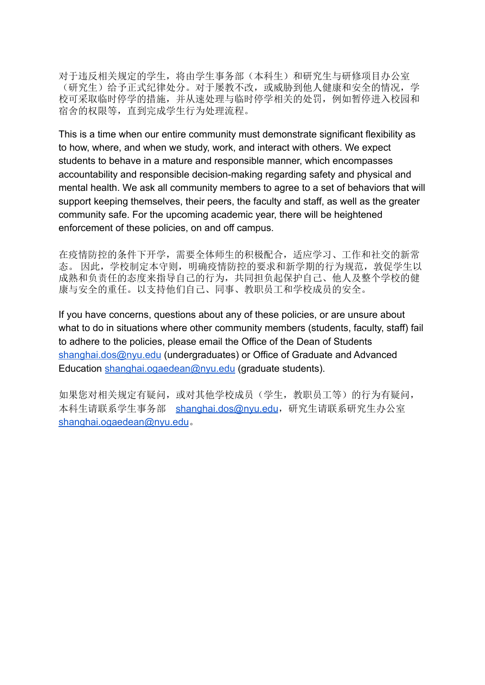对于违反相关规定的学生,将由学生事务部(本科生)和研究生与研修项目办公室 (研究生)给予正式纪律处分。对于屡教不改,或威胁到他人健康和安全的情况,学 校可采取临时停学的措施,并从速处理与临时停学相关的处罚,例如暂停进入校园和 宿舍的权限等,直到完成学生行为处理流程。

This is a time when our entire community must demonstrate significant flexibility as to how, where, and when we study, work, and interact with others. We expect students to behave in a mature and responsible manner, which encompasses accountability and responsible decision-making regarding safety and physical and mental health. We ask all community members to agree to a set of behaviors that will support keeping themselves, their peers, the faculty and staff, as well as the greater community safe. For the upcoming academic year, there will be heightened enforcement of these policies, on and off campus.

在疫情防控的条件下开学,需要全体师生的积极配合,适应学习、工作和社交的新常 态。 因此,学校制定本守则,明确疫情防控的要求和新学期的行为规范,敦促学生以 成熟和负责任的态度来指导自己的行为,共同担负起保护自己、他人及整个学校的健 康与安全的重任。以支持他们自己、同事、教职员工和学校成员的安全。

If you have concerns, questions about any of these policies, or are unsure about what to do in situations where other community members (students, faculty, staff) fail to adhere to the policies, please email the Office of the Dean of Students [shanghai.dos@nyu.edu](mailto:shanghai.dos@nyu.edu) (undergraduates) or Office of Graduate and Advanced Education [shanghai.ogaedean@nyu.edu](mailto:shanghai.ogaedean@nyu.edu) (graduate students).

如果您对相关规定有疑问,或对其他学校成员(学生,教职员工等)的行为有疑问, 本科生请联系学生事务部 [shanghai.dos@nyu.edu](mailto:shanghai.dos@nyu.edu),研究生请联系研究生办公室 [shanghai.ogaedean@nyu.edu](mailto:shanghai.ogaedean@nyu.edu)。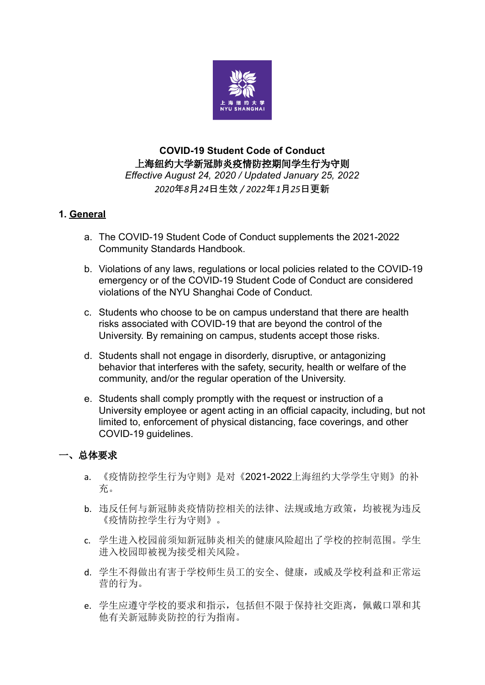

# **COVID-19 Student Code of Conduct** 上海纽约大学新冠肺炎疫情防控期间学生行为守则 *Effective August 24, 2020 / Updated January 25, 2022 2020*年*8*月*24*日生效 */ 2022*年*1*月*25*日更新

# **1. General**

- a. The COVID-19 Student Code of Conduct supplements the 2021-2022 Community Standards Handbook.
- b. Violations of any laws, regulations or local policies related to the COVID-19 emergency or of the COVID-19 Student Code of Conduct are considered violations of the NYU Shanghai Code of Conduct.
- c. Students who choose to be on campus understand that there are health risks associated with COVID-19 that are beyond the control of the University. By remaining on campus, students accept those risks.
- d. Students shall not engage in disorderly, disruptive, or antagonizing behavior that interferes with the safety, security, health or welfare of the community, and/or the regular operation of the University.
- e. Students shall comply promptly with the request or instruction of a University employee or agent acting in an official capacity, including, but not limited to, enforcement of physical distancing, face coverings, and other COVID-19 guidelines.

### 一、总体要求

- a. 《疫情防控学生行为守则》是对《2021-2022上海纽约大学学生守则》的补 充。
- b. 违反任何与新冠肺炎疫情防控相关的法律、法规或地方政策,均被视为违反 《疫情防控学生行为守则》。
- c. 学生进入校园前须知新冠肺炎相关的健康风险超出了学校的控制范围。学生 进入校园即被视为接受相关风险。
- d. 学生不得做出有害于学校师生员工的安全、健康,或威及学校利益和正常运 营的行为。
- e. 学生应遵守学校的要求和指示,包括但不限于保持社交距离,佩戴口罩和其 他有关新冠肺炎防控的行为指南。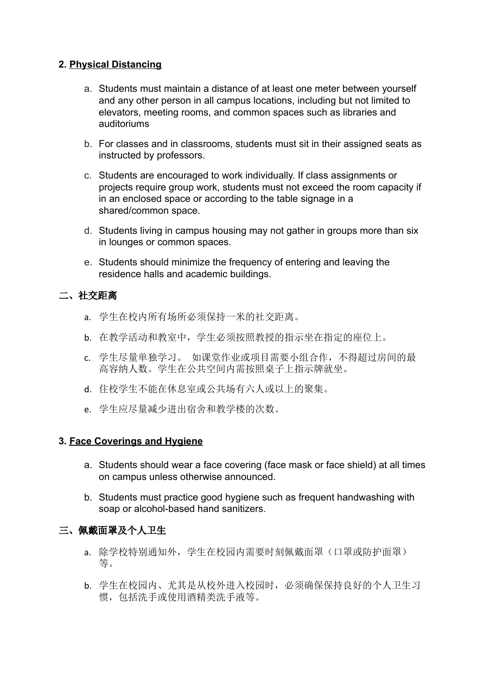## **2. Physical Distancing**

- a. Students must maintain a distance of at least one meter between yourself and any other person in all campus locations, including but not limited to elevators, meeting rooms, and common spaces such as libraries and auditoriums
- b. For classes and in classrooms, students must sit in their assigned seats as instructed by professors.
- c. Students are encouraged to work individually. If class assignments or projects require group work, students must not exceed the room capacity if in an enclosed space or according to the table signage in a shared/common space.
- d. Students living in campus housing may not gather in groups more than six in lounges or common spaces.
- e. Students should minimize the frequency of entering and leaving the residence halls and academic buildings.

#### 二、社交距离

- a. 学生在校内所有场所必须保持一米的社交距离。
- b. 在教学活动和教室中,学生必须按照教授的指示坐在指定的座位上。
- c. 学生尽量单独学习。 如课堂作业或项目需要小组合作,不得超过房间的最 高容纳人数。学生在公共空间内需按照桌子上指示牌就坐。
- d. 住校学生不能在休息室或公共场有六人或以上的聚集。
- e. 学生应尽量减少进出宿舍和教学楼的次数。

### **3. Face Coverings and Hygiene**

- a. Students should wear a face covering (face mask or face shield) at all times on campus unless otherwise announced.
- b. Students must practice good hygiene such as frequent handwashing with soap or alcohol-based hand sanitizers.

### 三、佩戴面罩及个人卫生

- a. 除学校特别通知外,学生在校园内需要时刻佩戴面罩(口罩或防护面罩) 等。
- b. 学生在校园内、尤其是从校外进入校园时,必须确保保持良好的个人卫生习 惯,包括洗手或使用酒精类洗手液等。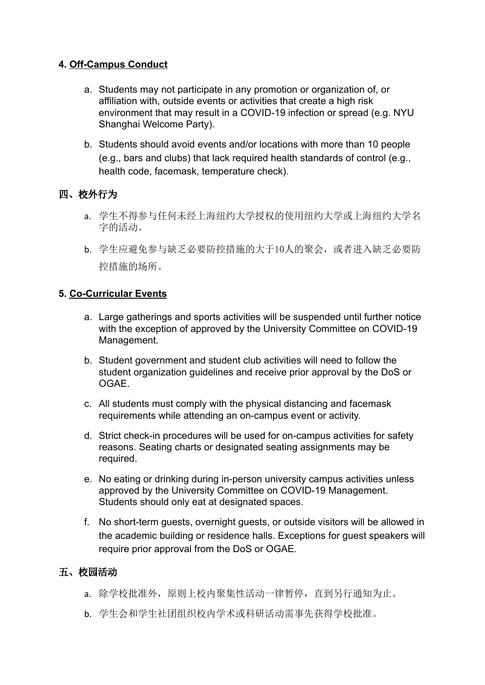# **4. Off-Campus Conduct**

- a. Students may not participate in any promotion or organization of, or affiliation with, outside events or activities that create a high risk environment that may result in a COVID-19 infection or spread (e.g. NYU Shanghai Welcome Party).
- b. Students should avoid events and/or locations with more than 10 people (e.g., bars and clubs) that lack required health standards of control (e.g., health code, facemask, temperature check).

# 四、校外行为

- a. 学生不得参与任何未经上海纽约大学授权的使用纽约大学或上海纽约大学名 字的活动。
- b. 学生应避免参与缺乏必要防控措施的大于10人的聚会,或者进入缺乏必要防 控措施的场所。

## **5. Co-Curricular Events**

- a. Large gatherings and sports activities will be suspended until further notice with the exception of approved by the University Committee on COVID-19 Management.
- b. Student government and student club activities will need to follow the student organization guidelines and receive prior approval by the DoS or OGAE.
- c. All students must comply with the physical distancing and facemask requirements while attending an on-campus event or activity.
- d. Strict check-in procedures will be used for on-campus activities for safety reasons. Seating charts or designated seating assignments may be required.
- e. No eating or drinking during in-person university campus activities unless approved by the University Committee on COVID-19 Management. Students should only eat at designated spaces.
- f. No short-term guests, overnight guests, or outside visitors will be allowed in the academic building or residence halls. Exceptions for guest speakers will require prior approval from the DoS or OGAE.

## 五、校园活动

- a. 除学校批准外,原则上校内聚集性活动一律暂停,直到另行通知为止。
- b. 学生会和学生社团组织校内学术或科研活动需事先获得学校批准。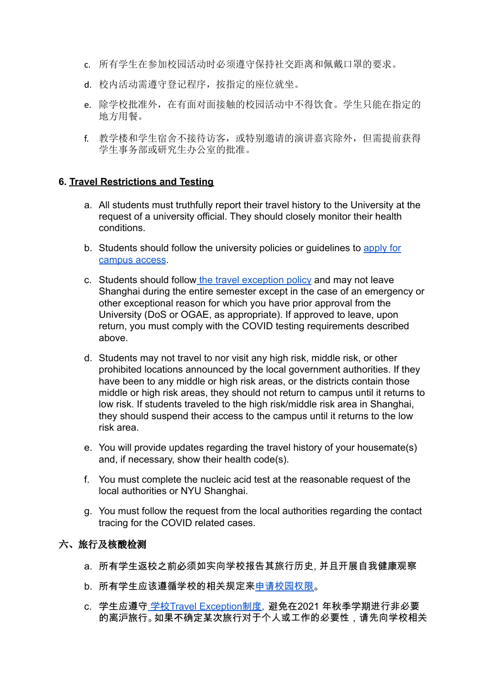- c. 所有学生在参加校园活动时必须遵守保持社交距离和佩戴口罩的要求。
- d. 校内活动需遵守登记程序,按指定的座位就坐。
- e. 除学校批准外,在有面对面接触的校园活动中不得饮食。学生只能在指定的 地方用餐。
- f. 教学楼和学生宿舍不接待访客,或特别邀请的演讲嘉宾除外,但需提前获得 学生事务部或研究生办公室的批准。

### **6. Travel Restrictions and Testing**

- a. All students must truthfully report their travel history to the University at the request of a university official. They should closely monitor their health conditions.
- b. Students should follow the university policies or guidelines to [apply for](https://docs.google.com/document/d/1kerHgwMshpTEzAdOUyBP-yY5AifcN0iexh3mDTWu8mU/edit?usp=sharing) [campus access](https://docs.google.com/document/d/1kerHgwMshpTEzAdOUyBP-yY5AifcN0iexh3mDTWu8mU/edit?usp=sharing).
- c. Students should follow [the travel exception policy](https://docs.google.com/document/d/1nTRt5TTEFysIfF-Qz19QdUR7z7V2Epr-gb5yrT5JKHo/edit?usp=sharing) and may not leave Shanghai during the entire semester except in the case of an emergency or other exceptional reason for which you have prior approval from the University (DoS or OGAE, as appropriate). If approved to leave, upon return, you must comply with the COVID testing requirements described above.
- d. Students may not travel to nor visit any high risk, middle risk, or other prohibited locations announced by the local government authorities. If they have been to any middle or high risk areas, or the districts contain those middle or high risk areas, they should not return to campus until it returns to low risk. If students traveled to the high risk/middle risk area in Shanghai, they should suspend their access to the campus until it returns to the low risk area.
- e. You will provide updates regarding the travel history of your housemate(s) and, if necessary, show their health code(s).
- f. You must complete the nucleic acid test at the reasonable request of the local authorities or NYU Shanghai.
- g. You must follow the request from the local authorities regarding the contact tracing for the COVID related cases.

#### 六、旅行及核酸检测

- a. 所有学生返校之前必须如实向学校报告其旅行历史, 并且开展自我健康观察
- b. 所有学生应该遵循学校的相关规定来申[请校园权限](https://docs.google.com/document/d/1kerHgwMshpTEzAdOUyBP-yY5AifcN0iexh3mDTWu8mU/edit?usp=sharing)。
- c. 学生应遵守 学校[Travel Exception](https://docs.google.com/document/d/1nTRt5TTEFysIfF-Qz19QdUR7z7V2Epr-gb5yrT5JKHo/edit?usp=sharing)制度, 避免在2021 年秋季学期进行非必要 的离沪旅行。如果不确定某次旅行对于个人或工作的必要性,请先向学校相关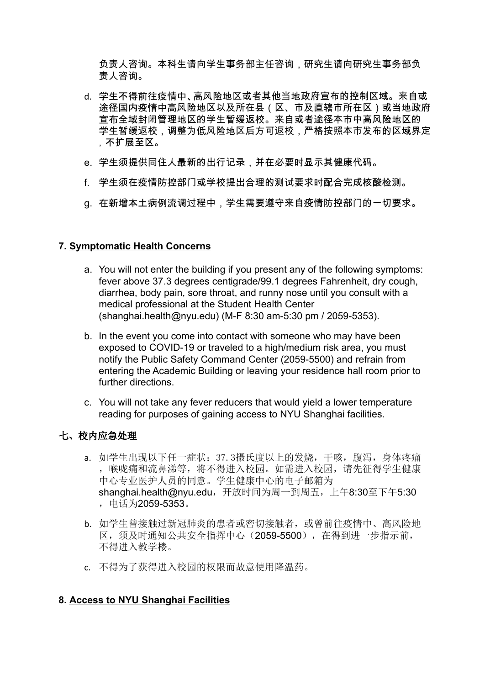负责人咨询。本科生请向学生事务部主任咨询,研究生请向研究生事务部负 责人咨询。

- d. 学生不得前往疫情中、高风险地区或者其他当地政府宣布的控制区域。来自或 途径国内疫情中高风险地区以及所在县(区、市及直辖市所在区)或当地政府 宣布全域封闭管理地区的学生暂缓返校。来自或者途径本市中高风险地区的 学生暂缓返校,调整为低风险地区后方可返校,严格按照本市发布的区域界定 ,不扩展至区。
- e. 学生须提供同住人最新的出行记录,并在必要时显示其健康代码。
- f. 学生须在疫情防控部门或学校提出合理的测试要求时配合完成核酸检测。
- g. 在新增本土病例流调过程中,学生需要遵守来自疫情防控部门的一切要求。

### **7. Symptomatic Health Concerns**

- a. You will not enter the building if you present any of the following symptoms: fever above 37.3 degrees centigrade/99.1 degrees Fahrenheit, dry cough, diarrhea, body pain, sore throat, and runny nose until you consult with a medical professional at the Student Health Center (shanghai.health@nyu.edu) (M-F 8:30 am-5:30 pm / 2059-5353).
- b. In the event you come into contact with someone who may have been exposed to COVID-19 or traveled to a high/medium risk area, you must notify the Public Safety Command Center (2059-5500) and refrain from entering the Academic Building or leaving your residence hall room prior to further directions.
- c. You will not take any fever reducers that would yield a lower temperature reading for purposes of gaining access to NYU Shanghai facilities.

### 七、校内应急处理

- a. 如学生出现以下任一症状:37.3摄氏度以上的发烧,干咳,腹泻,身体疼痛 ,喉咙痛和流鼻涕等,将不得进入校园。如需进入校园,请先征得学生健康 中心专业医护人员的同意。学生健康中心的电子邮箱为 shanghai.health@nyu.edu,开放时间为周一到周五,上午8:30至下午5:30 ,电话为2059-5353。
- b. 如学生曾接触过新冠肺炎的患者或密切接触者,或曾前往疫情中、高风险地 区,须及时通知公共安全指挥中心(2059-5500),在得到进一步指示前, 不得进入教学楼。
- c. 不得为了获得进入校园的权限而故意使用降温药。

### **8. Access to NYU Shanghai Facilities**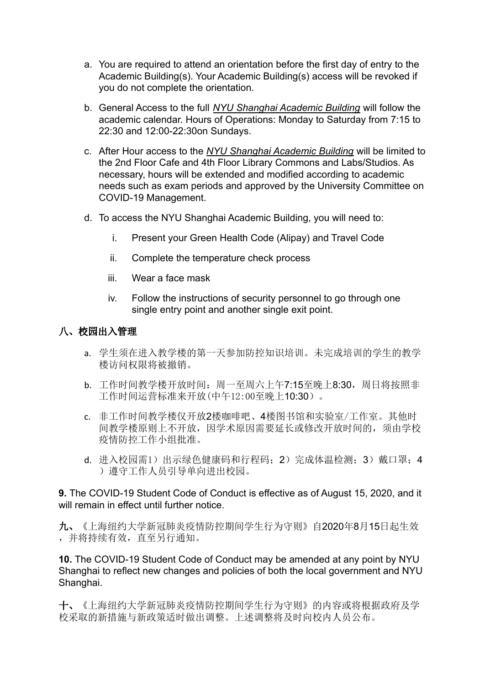- a. You are required to attend an orientation before the first day of entry to the Academic Building(s). Your Academic Building(s) access will be revoked if you do not complete the orientation.
- b. General Access to the full *NYU Shanghai Academic Building* will follow the academic calendar. Hours of Operations: Monday to Saturday from 7:15 to 22:30 and 12:00-22:30on Sundays.
- c. After Hour access to the *NYU Shanghai Academic Building* will be limited to the 2nd Floor Cafe and 4th Floor Library Commons and Labs/Studios. As necessary, hours will be extended and modified according to academic needs such as exam periods and approved by the University Committee on COVID-19 Management.
- d. To access the NYU Shanghai Academic Building, you will need to:
	- i. Present your Green Health Code (Alipay) and Travel Code
	- ii. Complete the temperature check process
	- iii. Wear a face mask
	- iv. Follow the instructions of security personnel to go through one single entry point and another single exit point.

# 八、校园出入管理

- a. 学生须在进入教学楼的第一天参加防控知识培训。未完成培训的学生的教学 楼访问权限将被撤销。
- b. 工作时间教学楼开放时间: 周一至周六上午7:15至晚上8:30, 周日将按照非 工作时间运营标准来开放(中午12:00至晚上10:30)。
- c. 非工作时间教学楼仅开放2楼咖啡吧、4楼图书馆和实验室/工作室。其他时 间教学楼原则上不开放,因学术原因需要延长或修改开放时间的,须由学校 疫情防控工作小组批准。
- d. 进入校园需1)出示绿色健康码和行程码; 2)完成体温检测; 3) 戴口罩; 4 )遵守工作人员引导单向进出校园。

## **9.** The COVID-19 Student Code of Conduct is effective as of August 15, 2020, and it will remain in effect until further notice.

九、《上海纽约大学新冠肺炎疫情防控期间学生行为守则》自2020年8月15日起生效 ,并将持续有效,直至另行通知。

**10.** The COVID-19 Student Code of Conduct may be amended at any point by NYU Shanghai to reflect new changes and policies of both the local government and NYU Shanghai.

十、《上海纽约大学新冠肺炎疫情防控期间学生行为守则》的内容或将根据政府及学 校采取的新措施与新政策适时做出调整。上述调整将及时向校内人员公布。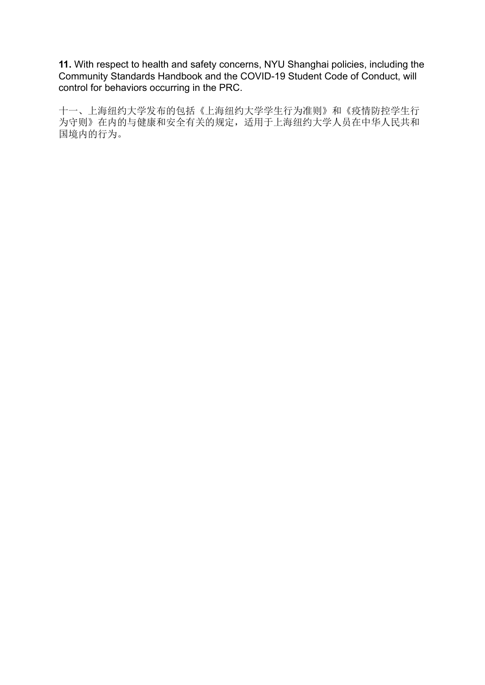**11.** With respect to health and safety concerns, NYU Shanghai policies, including the Community Standards Handbook and the COVID-19 Student Code of Conduct, will control for behaviors occurring in the PRC.

十一、上海纽约大学发布的包括《上海纽约大学学生行为准则》和《疫情防控学生行 为守则》在内的与健康和安全有关的规定,适用于上海纽约大学人员在中华人民共和 国境内的行为。